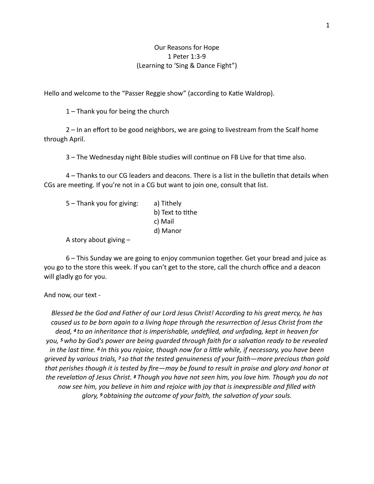## Our Reasons for Hope 1 Peter 1:3-9 (Learning to 'Sing & Dance Fight")

Hello and welcome to the "Passer Reggie show" (according to Katie Waldrop).

1 – Thank you for being the church

 2 – In an effort to be good neighbors, we are going to livestream from the Scalf home through April.

3 – The Wednesday night Bible studies will continue on FB Live for that time also.

4 – Thanks to our CG leaders and deacons. There is a list in the bulletin that details when CGs are meeting. If you're not in a CG but want to join one, consult that list.

| $5 -$ Thank you for giving: | a) Tithely       |
|-----------------------------|------------------|
|                             | b) Text to tithe |
|                             | c) Mail          |
|                             | d) Manor         |
|                             |                  |

A story about giving –

 6 – This Sunday we are going to enjoy communion together. Get your bread and juice as you go to the store this week. If you can't get to the store, call the church office and a deacon will gladly go for you.

And now, our text -

*Blessed be the God and Father of our Lord Jesus Christ! According to his great mercy, he has*  caused us to be born again to a living hope through the resurrection of Jesus Christ from the *dead, 4 to an inheritance that is imperishable, undefiled, and unfading, kept in heaven for you, 5 who by God's power are being guarded through faith for a salva?on ready to be revealed*  in the last time. <sup>6</sup> In this you rejoice, though now for a little while, if necessary, you have been *grieved by various trials, 7 so that the tested genuineness of your faith—more precious than gold that perishes though it is tested by fire—may be found to result in praise and glory and honor at the revela?on of Jesus Christ. 8 Though you have not seen him, you love him. Though you do not now see him, you believe in him and rejoice with joy that is inexpressible and filled with glory, <sup>9</sup> obtaining the outcome of your faith, the salvation of your souls.*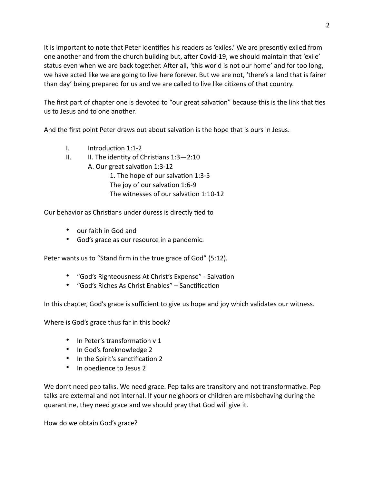It is important to note that Peter identifies his readers as 'exiles.' We are presently exiled from one another and from the church building but, after Covid-19, we should maintain that 'exile' status even when we are back together. After all, 'this world is not our home' and for too long, we have acted like we are going to live here forever. But we are not, 'there's a land that is fairer than day' being prepared for us and we are called to live like citizens of that country.

The first part of chapter one is devoted to "our great salvation" because this is the link that ties us to Jesus and to one another.

And the first point Peter draws out about salvation is the hope that is ours in Jesus.

- $I.$  Introduction 1:1-2
- II. II. The identity of Christians  $1:3-2:10$ 
	- A. Our great salvation 1:3-12

1. The hope of our salvation 1:3-5 The joy of our salvation 1:6-9 The witnesses of our salvation  $1:10-12$ 

Our behavior as Christians under duress is directly tied to

- our faith in God and
- God's grace as our resource in a pandemic.

Peter wants us to "Stand firm in the true grace of God" (5:12).

- "God's Righteousness At Christ's Expense" Salvation
- "God's Riches As Christ Enables" Sanctification

In this chapter, God's grace is sufficient to give us hope and joy which validates our witness.

Where is God's grace thus far in this book?

- $\bullet$  In Peter's transformation v 1
- In God's foreknowledge 2
- In the Spirit's sanctification 2
- In obedience to Jesus 2

We don't need pep talks. We need grace. Pep talks are transitory and not transformative. Pep talks are external and not internal. If your neighbors or children are misbehaving during the quarantine, they need grace and we should pray that God will give it.

How do we obtain God's grace?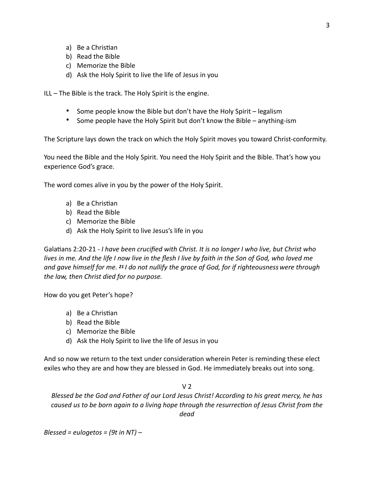- a) Be a Christian
- b) Read the Bible
- c) Memorize the Bible
- d) Ask the Holy Spirit to live the life of Jesus in you

ILL – The Bible is the track. The Holy Spirit is the engine.

- Some people know the Bible but don't have the Holy Spirit legalism
- Some people have the Holy Spirit but don't know the Bible anything-ism

The Scripture lays down the track on which the Holy Spirit moves you toward Christ-conformity.

You need the Bible and the Holy Spirit. You need the Holy Spirit and the Bible. That's how you experience God's grace.

The word comes alive in you by the power of the Holy Spirit.

- a) Be a Christian
- b) Read the Bible
- c) Memorize the Bible
- d) Ask the Holy Spirit to live Jesus's life in you

Galatians 2:20-21 - *I have been crucified with Christ. It is no longer I who live, but Christ who lives in me. And the life I now live in the flesh I live by faith in the Son of God, who loved me and gave himself for me. 21 I do not nullify the grace of God, for if righteousness were through the law, then Christ died for no purpose.*

How do you get Peter's hope?

- a) Be a Christian
- b) Read the Bible
- c) Memorize the Bible
- d) Ask the Holy Spirit to live the life of Jesus in you

And so now we return to the text under consideration wherein Peter is reminding these elect exiles who they are and how they are blessed in God. He immediately breaks out into song.

 $V<sub>2</sub>$ 

*Blessed be the God and Father of our Lord Jesus Christ! According to his great mercy, he has*  caused us to be born again to a living hope through the resurrection of Jesus Christ from the *dead* 

*Blessed = eulogetos = (9t in NT) –*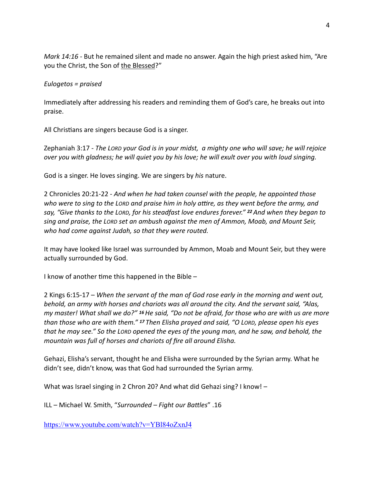*Mark 14:16 - But he remained silent and made no answer. Again the high priest asked him, "Are* you the Christ, the Son of the Blessed?"

## *Eulogetos = praised*

Immediately after addressing his readers and reminding them of God's care, he breaks out into praise.

All Christians are singers because God is a singer.

Zephaniah 3:17 - *The LORD your God is in your midst, a mighty one who will save; he will rejoice over you with gladness; he will quiet you by his love; he will exult over you with loud singing.*

God is a singer. He loves singing. We are singers by *his* nature.

2 Chronicles 20:21-22 - *And when he had taken counsel with the people, he appointed those who were to sing to the LORD and praise him in holy a\_re, as they went before the army, and say, "Give thanks to the LORD, for his steadfast love endures forever." 22 And when they began to sing and praise, the LORD set an ambush against the men of Ammon, Moab, and Mount Seir, who had come against Judah, so that they were routed.* 

It may have looked like Israel was surrounded by Ammon, Moab and Mount Seir, but they were actually surrounded by God.

I know of another time this happened in the Bible  $-$ 

2 Kings 6:15-17 – *When the servant of the man of God rose early in the morning and went out, behold, an army with horses and chariots was all around the city. And the servant said, "Alas, my master! What shall we do?" 16 He said, "Do not be afraid, for those who are with us are more than those who are with them." 17 Then Elisha prayed and said, "O LORD, please open his eyes that he may see." So the LORD opened the eyes of the young man, and he saw, and behold, the mountain was full of horses and chariots of fire all around Elisha.* 

Gehazi, Elisha's servant, thought he and Elisha were surrounded by the Syrian army. What he didn't see, didn't know, was that God had surrounded the Syrian army.

What was Israel singing in 2 Chron 20? And what did Gehazi sing? I know! -

ILL – Michael W. Smith, "Surrounded – Fight our Battles" .16

<https://www.youtube.com/watch?v=YBl84oZxnJ4>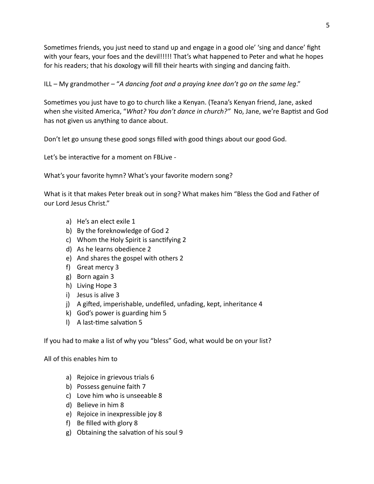Sometimes friends, you just need to stand up and engage in a good ole' 'sing and dance' fight with your fears, your foes and the devil!!!!! That's what happened to Peter and what he hopes for his readers; that his doxology will fill their hearts with singing and dancing faith.

ILL – My grandmother – "*A dancing foot and a praying knee don't go on the same leg*."

Sometimes you just have to go to church like a Kenyan. (Teana's Kenyan friend, Jane, asked when she visited America, "*What? You don't dance in church?"* No, Jane, we're Baptist and God has not given us anything to dance about.

Don't let go unsung these good songs filled with good things about our good God.

Let's be interactive for a moment on FBLive -

What's your favorite hymn? What's your favorite modern song?

What is it that makes Peter break out in song? What makes him "Bless the God and Father of our Lord Jesus Christ."

- a) He's an elect exile 1
- b) By the foreknowledge of God 2
- c) Whom the Holy Spirit is sanctifying 2
- d) As he learns obedience 2
- e) And shares the gospel with others 2
- f) Great mercy 3
- g) Born again 3
- h) Living Hope 3
- i) Jesus is alive 3
- j) A gifted, imperishable, undefiled, unfading, kept, inheritance 4
- k) God's power is guarding him 5
- l) A last-time salvation 5

If you had to make a list of why you "bless" God, what would be on your list?

All of this enables him to

- a) Rejoice in grievous trials 6
- b) Possess genuine faith 7
- c) Love him who is unseeable 8
- d) Believe in him 8
- e) Rejoice in inexpressible joy 8
- f) Be filled with glory 8
- g) Obtaining the salvation of his soul 9